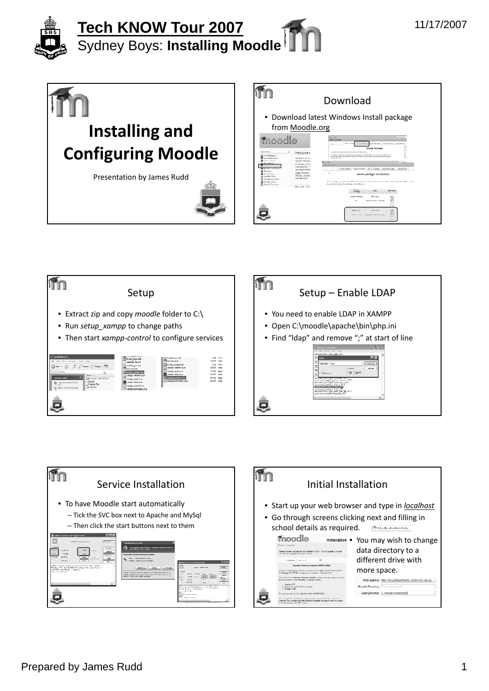









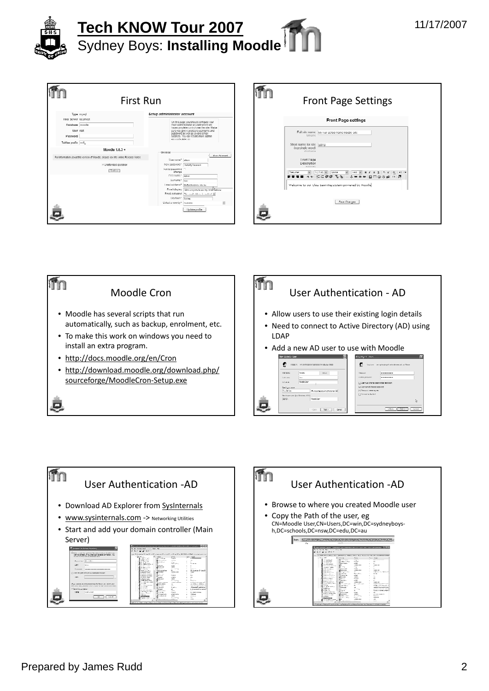| <b>First Run</b>                                                                                                                           |                                                                                                                                                                                                                                                                                                    |  |  |
|--------------------------------------------------------------------------------------------------------------------------------------------|----------------------------------------------------------------------------------------------------------------------------------------------------------------------------------------------------------------------------------------------------------------------------------------------------|--|--|
| Type mysed<br>Host Server localhost<br>Databases months<br>User rest<br>Password<br>Tables prefix mill                                     | Setup administrator account<br>On this page you should comigure your<br>moin odministrator occount which will<br>Isystemphile cerirel over the site. Make<br>sure you give it a secure usemame and<br>password as well as a valid email<br>oddress. You can create more admin-<br>ser cods blenon. |  |  |
| Moodle 1.8.3 +<br>For information about this version of Moodle, please see the online Release Notes<br>PIUsattended operation<br>Confessor | General<br>Show Advanced<br>Userraine* atms<br>New password* linggagewaya<br>Force password ITT<br>change                                                                                                                                                                                          |  |  |
|                                                                                                                                            | First name <sup>+</sup> Admin<br>Gumame" Dwg<br>I med softbered" [Medicated nor which<br>Final display Take convert is see no credibilized<br>Fmail activated Theoretical chiefs is rectired bill<br>Chytoan* Sydney<br>Select a country*   Australia                                              |  |  |
|                                                                                                                                            | Update profile                                                                                                                                                                                                                                                                                     |  |  |

| <b>First Run</b>                                                                                                                                                                     | <b>Front Page Settings</b>                                                                                        |
|--------------------------------------------------------------------------------------------------------------------------------------------------------------------------------------|-------------------------------------------------------------------------------------------------------------------|
| Setup administrator account                                                                                                                                                          |                                                                                                                   |
| On this page you should comigure your<br>lite doine topocop sobretoint of the                                                                                                        | Front Page settings                                                                                               |
| base complete control over the site. Make<br>sure you give it a secure usemanne and<br>password as well as a valid email<br>address. You can create more admin-<br>ser onds bike on. | Full sille name: My I ull School Name Moodle Site<br>fullname                                                     |
|                                                                                                                                                                                      | Short name for site Isans<br>(eg single word)                                                                     |
| General                                                                                                                                                                              | shortcome                                                                                                         |
| Show Administrat<br>Username" latera                                                                                                                                                 | I ront l'age                                                                                                      |
| New password* linguidy/typewel                                                                                                                                                       | Description                                                                                                       |
| Force password [7]<br>change                                                                                                                                                         | <b>MERCHING</b><br>W 3 (Cat) W Name<br>$\boxed{mn \times 1 + 1 + S \times 1 + 1 + 2 + 2}$<br>Traduction<br>$\sim$ |
| First name* Agent                                                                                                                                                                    |                                                                                                                   |
| Gumame" low:                                                                                                                                                                         |                                                                                                                   |
| I med schlerer" [Moderholmuratium                                                                                                                                                    | Welcome to our Class Learning system powered by Moodle                                                            |
| Final display Taby corporate seeing enabledness                                                                                                                                      |                                                                                                                   |
| Fmail activated Theorem Juliano is matted Bill                                                                                                                                       |                                                                                                                   |
| Chytoan* System<br>$\approx$<br>Select a country*   Australia                                                                                                                        | Saw Charges                                                                                                       |





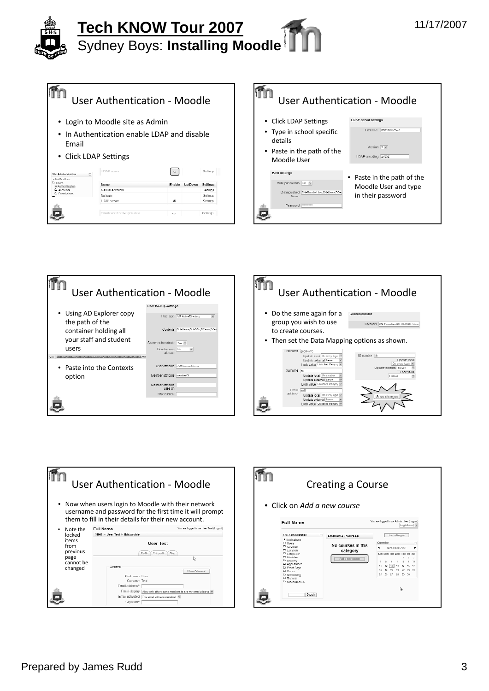|                                                                               | <b>User Authentication - Moodle</b>         |        |                |           |
|-------------------------------------------------------------------------------|---------------------------------------------|--------|----------------|-----------|
|                                                                               | • Login to Moodle site as Admin             |        |                |           |
| Fmail                                                                         | • In Authentication enable LDAP and disable |        |                |           |
|                                                                               | • Click LDAP Settings                       |        |                |           |
| Site Administration                                                           | I DAP serves                                |        |                | Sellings  |
| · Notifications<br>Er Henri<br>· Authentication<br>Li Accounts<br>Permitsions | Name                                        | Enable | <b>Un/Down</b> | Settings  |
|                                                                               | Manual accounts.                            |        |                | Settinos  |
|                                                                               | No kxim                                     |        |                | Seilines: |
|                                                                               | LDAI <sup>3</sup> server                    |        |                | Settinos  |
|                                                                               |                                             |        |                |           |
|                                                                               | Email-based self-registration               | المعاد |                | Sellings  |